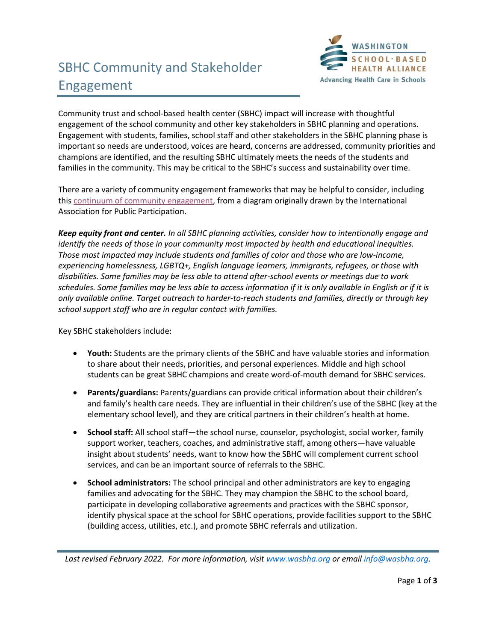## SBHC Community and Stakeholder Engagement



Community trust and school-based health center (SBHC) impact will increase with thoughtful engagement of the school community and other key stakeholders in SBHC planning and operations. Engagement with students, families, school staff and other stakeholders in the SBHC planning phase is important so needs are understood, voices are heard, concerns are addressed, community priorities and champions are identified, and the resulting SBHC ultimately meets the needs of the students and families in the community. This may be critical to the SBHC's success and sustainability over time.

There are a variety of community engagement frameworks that may be helpful to consider, including this [continuum of community engagement,](https://www.atsdr.cdc.gov/communityengagement/images/figure1.1_lg.jpg) from a diagram originally drawn by the International Association for Public Participation.

*Keep equity front and center. In all SBHC planning activities, consider how to intentionally engage and identify the needs of those in your community most impacted by health and educational inequities. Those most impacted may include students and families of color and those who are low-income, experiencing homelessness, LGBTQ+, English language learners, immigrants, refugees, or those with disabilities. Some families may be less able to attend after-school events or meetings due to work schedules. Some families may be less able to access information if it is only available in English or if it is only available online. Target outreach to harder-to-reach students and families, directly or through key school support staff who are in regular contact with families.* 

Key SBHC stakeholders include:

- **Youth:** Students are the primary clients of the SBHC and have valuable stories and information to share about their needs, priorities, and personal experiences. Middle and high school students can be great SBHC champions and create word-of-mouth demand for SBHC services.
- **Parents/guardians:** Parents/guardians can provide critical information about their children's and family's health care needs. They are influential in their children's use of the SBHC (key at the elementary school level), and they are critical partners in their children's health at home.
- **School staff:** All school staff—the school nurse, counselor, psychologist, social worker, family support worker, teachers, coaches, and administrative staff, among others—have valuable insight about students' needs, want to know how the SBHC will complement current school services, and can be an important source of referrals to the SBHC.
- **School administrators:** The school principal and other administrators are key to engaging families and advocating for the SBHC. They may champion the SBHC to the school board, participate in developing collaborative agreements and practices with the SBHC sponsor, identify physical space at the school for SBHC operations, provide facilities support to the SBHC (building access, utilities, etc.), and promote SBHC referrals and utilization.

*Last revised February 2022. For more information, visi[t www.wasbha.org](http://www.wasbha.org/) or email [info@wasbha.org.](mailto:info@wasbha.org)*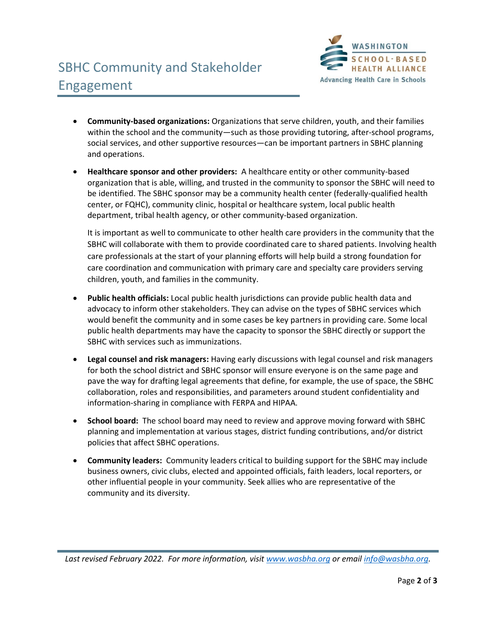

- **Community-based organizations:** Organizations that serve children, youth, and their families within the school and the community—such as those providing tutoring, after-school programs, social services, and other supportive resources—can be important partners in SBHC planning and operations.
- **Healthcare sponsor and other providers:** A healthcare entity or other community-based organization that is able, willing, and trusted in the community to sponsor the SBHC will need to be identified. The SBHC sponsor may be a community health center (federally-qualified health center, or FQHC), community clinic, hospital or healthcare system, local public health department, tribal health agency, or other community-based organization.

It is important as well to communicate to other health care providers in the community that the SBHC will collaborate with them to provide coordinated care to shared patients. Involving health care professionals at the start of your planning efforts will help build a strong foundation for care coordination and communication with primary care and specialty care providers serving children, youth, and families in the community.

- **Public health officials:** Local public health jurisdictions can provide public health data and advocacy to inform other stakeholders. They can advise on the types of SBHC services which would benefit the community and in some cases be key partners in providing care. Some local public health departments may have the capacity to sponsor the SBHC directly or support the SBHC with services such as immunizations.
- **Legal counsel and risk managers:** Having early discussions with legal counsel and risk managers for both the school district and SBHC sponsor will ensure everyone is on the same page and pave the way for drafting legal agreements that define, for example, the use of space, the SBHC collaboration, roles and responsibilities, and parameters around student confidentiality and information-sharing in compliance with FERPA and HIPAA.
- **School board:** The school board may need to review and approve moving forward with SBHC planning and implementation at various stages, district funding contributions, and/or district policies that affect SBHC operations.
- **Community leaders:** Community leaders critical to building support for the SBHC may include business owners, civic clubs, elected and appointed officials, faith leaders, local reporters, or other influential people in your community. Seek allies who are representative of the community and its diversity.

*Last revised February 2022. For more information, visi[t www.wasbha.org](http://www.wasbha.org/) or email [info@wasbha.org.](mailto:info@wasbha.org)*